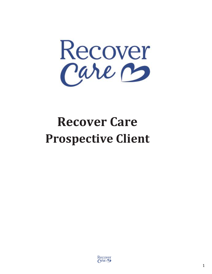

# **Recover Care Prospective Client**

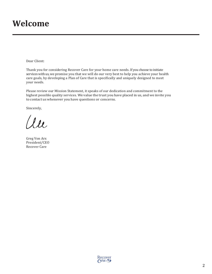## **Welcome**

Dear Client:

Thank you for considering Recover Care for your home care needs. If you choose to initiate services with us, we promise you that we will do our very best to help you achieve your health care goals, by developing a Plan of Care that is specifically and uniquely designed to meet your needs.

Please review our Mission Statement, it speaks of our dedication and commitment to the highest possible quality services. We value the trust you have placed in us, and we invite you to contact us whenever you have questions or concerns.

Sincerely,

au

Greg Von Arx President/CEO Recover Care

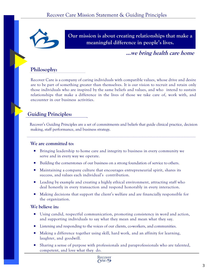

**Our mission is about creating relationships that make a meaningful difference in people's lives.**

**…we bring health care home**

#### **Philosophy:**

Recover Care is a company of caring individuals with compatible values, whose drive and desire are to be part of something greater than themselves. It is our vision to recruit and retain only those individuals who are inspired by the same beliefs and values, and who intend to sustain relationships that make a difference in the lives of those we take care of, work with, and encounter in our business activities.

### **Guiding Principles:**

Recover's Guiding Principles are a set of commitments and beliefs that guide clinical practice, decision making, staff performance, and business strategy.

#### **We are committed to:**

- Bringing leadership to home care and integrity to business in every community we serve and in every way we operate.
- Building the cornerstones of our business on a strong foundation of service to others.
- Maintaining a company culture that encourages entrepreneurial spirit, shares its success, and values each individual's contribution.
- **EXECUTE:** Leading by example and creating a highly ethical environment, attracting staff who deal honestly in every transaction and respond honorably in every interaction.
- Making decisions that support the client's welfare and are financially responsible for the organization.

#### **We believe in:**

- Using candid, respectful communication, promoting consistency in word and action, and supporting individuals to say what they mean and mean what they say.
- Listening and responding to the voices of our clients, co-workers, and communities.
- Making a difference together using skill, hard work, and an affinity for learning, laughter, and goodwill.
- Sharing a sense of purpose with professionals and paraprofessionals who are talented, competent, and love what they do.

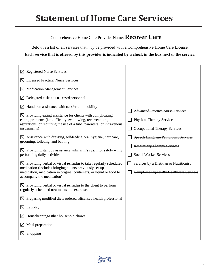# **Statement of Home Care Services**

### Comprehensive Home Care Provider Name: **Recover Care**

Below is a list of all services that *may* be provided with a Comprehensive Home Care License.

**Each service that is offered by this provider is indicated by a check in the box next to the service.**

| $\boxtimes$ Registered Nurse Services                                                                                                                                                                                                                                                            |                                                                                                                     |
|--------------------------------------------------------------------------------------------------------------------------------------------------------------------------------------------------------------------------------------------------------------------------------------------------|---------------------------------------------------------------------------------------------------------------------|
| <b>Licensed Practical Nurse Services</b><br>$\times$                                                                                                                                                                                                                                             |                                                                                                                     |
| <b>Medication Management Services</b><br>⊠                                                                                                                                                                                                                                                       |                                                                                                                     |
| Delegated tasks to unlicensed personnel<br>$\boxtimes$                                                                                                                                                                                                                                           |                                                                                                                     |
| Hands-on assistance with transfers and mobility<br>$\boxtimes$<br>$\boxtimes$ Providing eating assistance for clients with complicating<br>eating problems (i.e. difficulty swallowing, recurrent lung<br>aspirations, or requiring the use of a tube, parenteral or intravenous<br>instruments) | <b>Advanced Practice Nurse Services</b><br><b>Physical Therapy Services</b><br><b>Occupational Therapy Services</b> |
| $\boxtimes$ Assistance with dressing, self-feeding, oral hygiene, hair care,<br>grooming, toileting, and bathing<br>$\boxtimes$ Providing standby assistance within arm's reach for safety while<br>performing daily activities                                                                  | <b>Speech Language Pathologist Services</b><br><b>Respiratory Therapy Services</b><br><b>Social Worker Services</b> |
| $\boxtimes$ Providing verbal or visual reminders to take regularly scheduled<br>medication (includes bringing clients previously set-up<br>medication, medication in original containers, or liquid or food to<br>accompany the medication)                                                      | Services by a Dietitian or Nutritionist<br><b>Complex or Specialty Healthcare Services</b>                          |
| $\boxtimes$ Providing verbal or visual reminders to the client to perform<br>regularly scheduled treatments and exercises                                                                                                                                                                        |                                                                                                                     |
| Preparing modified diets ordered bylicensed health professional<br>⊠                                                                                                                                                                                                                             |                                                                                                                     |
| Laundry<br>$\boxtimes$                                                                                                                                                                                                                                                                           |                                                                                                                     |
| Housekeeping/Other household chores<br>$\boxtimes$                                                                                                                                                                                                                                               |                                                                                                                     |
| Meal preparation<br>$\boxtimes$                                                                                                                                                                                                                                                                  |                                                                                                                     |
| Shopping<br>$\boxtimes$                                                                                                                                                                                                                                                                          |                                                                                                                     |

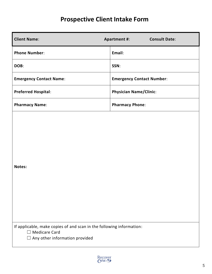### **Prospective Client Intake Form**

| <b>Client Name:</b>                                                                                                                                | <b>Consult Date:</b><br><b>Apartment #:</b> |
|----------------------------------------------------------------------------------------------------------------------------------------------------|---------------------------------------------|
| <b>Phone Number:</b>                                                                                                                               | Email:                                      |
| DOB:                                                                                                                                               | SSN:                                        |
| <b>Emergency Contact Name:</b>                                                                                                                     | <b>Emergency Contact Number:</b>            |
| <b>Preferred Hospital:</b>                                                                                                                         | <b>Physician Name/Clinic:</b>               |
| <b>Pharmacy Name:</b>                                                                                                                              | <b>Pharmacy Phone:</b>                      |
| Notes:                                                                                                                                             |                                             |
| If applicable, make copies of and scan in the following information:<br><b>Medicare Card</b><br>$\Box$<br>Any other information provided<br>$\Box$ |                                             |